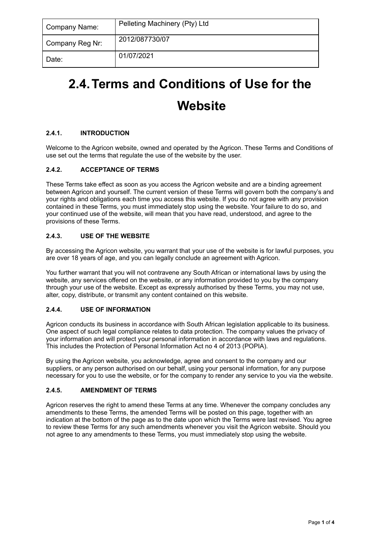| Company Name:   | Pelleting Machinery (Pty) Ltd |
|-----------------|-------------------------------|
| Company Reg Nr: | 2012/087730/07                |
| Date:           | 01/07/2021                    |

# **2.4.Terms and Conditions of Use for the**

# **Website**

# **2.4.1. INTRODUCTION**

Welcome to the Agricon website, owned and operated by the Agricon. These Terms and Conditions of use set out the terms that regulate the use of the website by the user.

# **2.4.2. ACCEPTANCE OF TERMS**

These Terms take effect as soon as you access the Agricon website and are a binding agreement between Agricon and yourself. The current version of these Terms will govern both the company's and your rights and obligations each time you access this website. If you do not agree with any provision contained in these Terms, you must immediately stop using the website. Your failure to do so, and your continued use of the website, will mean that you have read, understood, and agree to the provisions of these Terms.

# **2.4.3. USE OF THE WEBSITE**

By accessing the Agricon website, you warrant that your use of the website is for lawful purposes, you are over 18 years of age, and you can legally conclude an agreement with Agricon.

You further warrant that you will not contravene any South African or international laws by using the website, any services offered on the website, or any information provided to you by the company through your use of the website. Except as expressly authorised by these Terms, you may not use, alter, copy, distribute, or transmit any content contained on this website.

# **2.4.4. USE OF INFORMATION**

Agricon conducts its business in accordance with South African legislation applicable to its business. One aspect of such legal compliance relates to data protection. The company values the privacy of your information and will protect your personal information in accordance with laws and regulations. This includes the Protection of Personal Information Act no 4 of 2013 (POPIA).

By using the Agricon website, you acknowledge, agree and consent to the company and our suppliers, or any person authorised on our behalf, using your personal information, for any purpose necessary for you to use the website, or for the company to render any service to you via the website.

# **2.4.5. AMENDMENT OF TERMS**

Agricon reserves the right to amend these Terms at any time. Whenever the company concludes any amendments to these Terms, the amended Terms will be posted on this page, together with an indication at the bottom of the page as to the date upon which the Terms were last revised. You agree to review these Terms for any such amendments whenever you visit the Agricon website. Should you not agree to any amendments to these Terms, you must immediately stop using the website.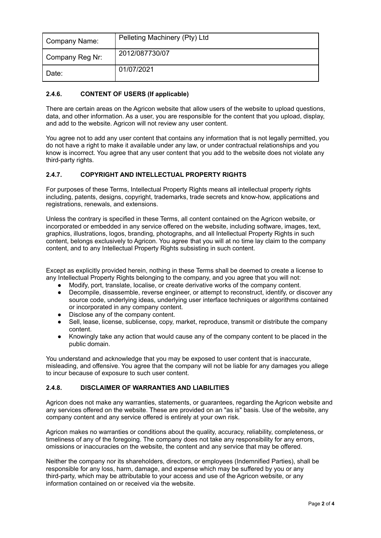| Company Name:   | Pelleting Machinery (Pty) Ltd |
|-----------------|-------------------------------|
| Company Reg Nr: | 2012/087730/07                |
| I Date:         | 01/07/2021                    |

#### **2.4.6. CONTENT OF USERS (If applicable)**

There are certain areas on the Agricon website that allow users of the website to upload questions, data, and other information. As a user, you are responsible for the content that you upload, display, and add to the website. Agricon will not review any user content.

You agree not to add any user content that contains any information that is not legally permitted, you do not have a right to make it available under any law, or under contractual relationships and you know is incorrect. You agree that any user content that you add to the website does not violate any third-party rights.

#### **2.4.7. COPYRIGHT AND INTELLECTUAL PROPERTY RIGHTS**

For purposes of these Terms, Intellectual Property Rights means all intellectual property rights including, patents, designs, copyright, trademarks, trade secrets and know-how, applications and registrations, renewals, and extensions.

Unless the contrary is specified in these Terms, all content contained on the Agricon website, or incorporated or embedded in any service offered on the website, including software, images, text, graphics, illustrations, logos, branding, photographs, and all Intellectual Property Rights in such content, belongs exclusively to Agricon. You agree that you will at no time lay claim to the company content, and to any Intellectual Property Rights subsisting in such content.

Except as explicitly provided herein, nothing in these Terms shall be deemed to create a license to any Intellectual Property Rights belonging to the company, and you agree that you will not:

- Modify, port, translate, localise, or create derivative works of the company content.
- Decompile, disassemble, reverse engineer, or attempt to reconstruct, identify, or discover any source code, underlying ideas, underlying user interface techniques or algorithms contained or incorporated in any company content.
- Disclose any of the company content.
- Sell, lease, license, sublicense, copy, market, reproduce, transmit or distribute the company content.
- Knowingly take any action that would cause any of the company content to be placed in the public domain.

You understand and acknowledge that you may be exposed to user content that is inaccurate, misleading, and offensive. You agree that the company will not be liable for any damages you allege to incur because of exposure to such user content.

#### **2.4.8. DISCLAIMER OF WARRANTIES AND LIABILITIES**

Agricon does not make any warranties, statements, or guarantees, regarding the Agricon website and any services offered on the website. These are provided on an "as is" basis. Use of the website, any company content and any service offered is entirely at your own risk.

Agricon makes no warranties or conditions about the quality, accuracy, reliability, completeness, or timeliness of any of the foregoing. The company does not take any responsibility for any errors, omissions or inaccuracies on the website, the content and any service that may be offered.

Neither the company nor its shareholders, directors, or employees (Indemnified Parties), shall be responsible for any loss, harm, damage, and expense which may be suffered by you or any third-party, which may be attributable to your access and use of the Agricon website, or any information contained on or received via the website.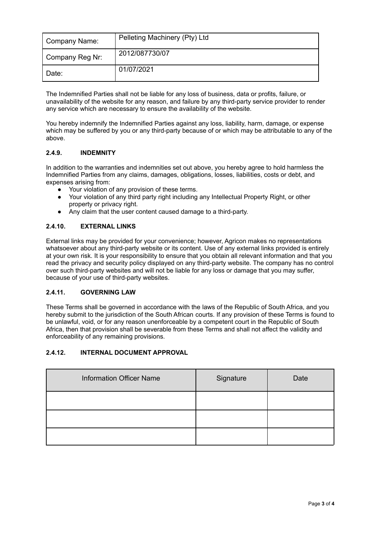| Company Name:   | Pelleting Machinery (Pty) Ltd |
|-----------------|-------------------------------|
| Company Reg Nr: | 2012/087730/07                |
| l Date:         | 01/07/2021                    |

The Indemnified Parties shall not be liable for any loss of business, data or profits, failure, or unavailability of the website for any reason, and failure by any third-party service provider to render any service which are necessary to ensure the availability of the website.

You hereby indemnify the Indemnified Parties against any loss, liability, harm, damage, or expense which may be suffered by you or any third-party because of or which may be attributable to any of the above.

# **2.4.9. INDEMNITY**

In addition to the warranties and indemnities set out above, you hereby agree to hold harmless the Indemnified Parties from any claims, damages, obligations, losses, liabilities, costs or debt, and expenses arising from:

- Your violation of any provision of these terms.
- Your violation of any third party right including any Intellectual Property Right, or other property or privacy right.
- Any claim that the user content caused damage to a third-party.

#### **2.4.10. EXTERNAL LINKS**

External links may be provided for your convenience; however, Agricon makes no representations whatsoever about any third-party website or its content. Use of any external links provided is entirely at your own risk. It is your responsibility to ensure that you obtain all relevant information and that you read the privacy and security policy displayed on any third-party website. The company has no control over such third-party websites and will not be liable for any loss or damage that you may suffer, because of your use of third-party websites.

#### **2.4.11. GOVERNING LAW**

These Terms shall be governed in accordance with the laws of the Republic of South Africa, and you hereby submit to the jurisdiction of the South African courts. If any provision of these Terms is found to be unlawful, void, or for any reason unenforceable by a competent court in the Republic of South Africa, then that provision shall be severable from these Terms and shall not affect the validity and enforceability of any remaining provisions.

# **2.4.12. INTERNAL DOCUMENT APPROVAL**

| <b>Information Officer Name</b> | Signature | Date |
|---------------------------------|-----------|------|
|                                 |           |      |
|                                 |           |      |
|                                 |           |      |